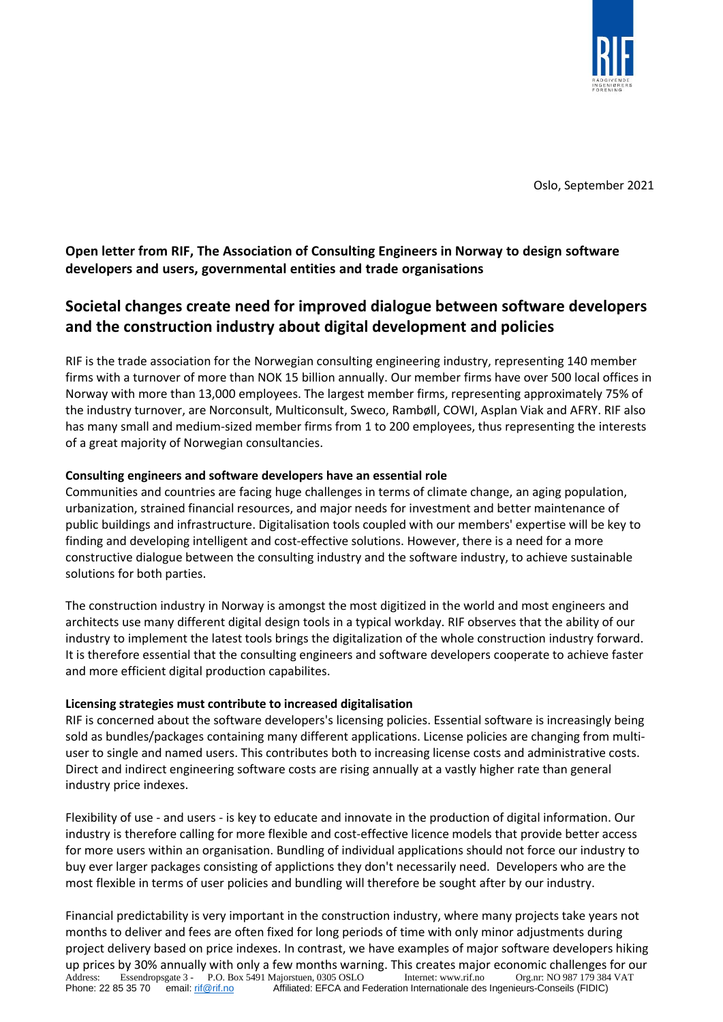

Oslo, September 2021

**Open letter from RIF, The Association of Consulting Engineers in Norway to design software developers and users, governmental entities and trade organisations**

# **Societal changes create need for improved dialogue between software developers and the construction industry about digital development and policies**

RIF is the trade association for the Norwegian consulting engineering industry, representing 140 member firms with a turnover of more than NOK 15 billion annually. Our member firms have over 500 local offices in Norway with more than 13,000 employees. The largest member firms, representing approximately 75% of the industry turnover, are Norconsult, Multiconsult, Sweco, Rambøll, COWI, Asplan Viak and AFRY. RIF also has many small and medium-sized member firms from 1 to 200 employees, thus representing the interests of a great majority of Norwegian consultancies.

#### **Consulting engineers and software developers have an essential role**

Communities and countries are facing huge challenges in terms of climate change, an aging population, urbanization, strained financial resources, and major needs for investment and better maintenance of public buildings and infrastructure. Digitalisation tools coupled with our members' expertise will be key to finding and developing intelligent and cost-effective solutions. However, there is a need for a more constructive dialogue between the consulting industry and the software industry, to achieve sustainable solutions for both parties.

The construction industry in Norway is amongst the most digitized in the world and most engineers and architects use many different digital design tools in a typical workday. RIF observes that the ability of our industry to implement the latest tools brings the digitalization of the whole construction industry forward. It is therefore essential that the consulting engineers and software developers cooperate to achieve faster and more efficient digital production capabilites.

#### **Licensing strategies must contribute to increased digitalisation**

RIF is concerned about the software developers's licensing policies. Essential software is increasingly being sold as bundles/packages containing many different applications. License policies are changing from multiuser to single and named users. This contributes both to increasing license costs and administrative costs. Direct and indirect engineering software costs are rising annually at a vastly higher rate than general industry price indexes.

Flexibility of use - and users - is key to educate and innovate in the production of digital information. Our industry is therefore calling for more flexible and cost-effective licence models that provide better access for more users within an organisation. Bundling of individual applications should not force our industry to buy ever larger packages consisting of applictions they don't necessarily need. Developers who are the most flexible in terms of user policies and bundling will therefore be sought after by our industry.

Address: Essendropsgate 3 - P.O. Box 5491 Majorstuen, 0305 OSLO Internet: www.rif.no Org.nr: NO 987 179 384 VAT<br>Phone: 22 85 35 70 email: rif@rif.no Affiliated: EFCA and Federation Internationale des Ingenieurs-Conseils (F Affiliated: EFCA and Federation Internationale des Ingenieurs-Conseils (FIDIC) Financial predictability is very important in the construction industry, where many projects take years not months to deliver and fees are often fixed for long periods of time with only minor adjustments during project delivery based on price indexes. In contrast, we have examples of major software developers hiking up prices by 30% annually with only a few months warning. This creates major economic challenges for our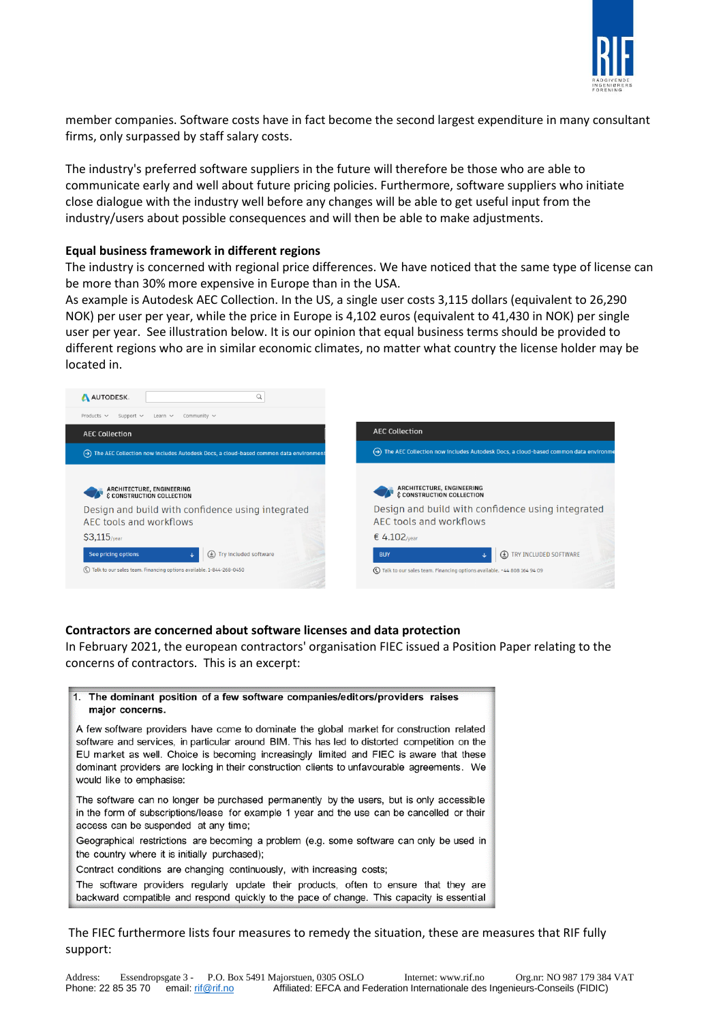

member companies. Software costs have in fact become the second largest expenditure in many consultant firms, only surpassed by staff salary costs.

The industry's preferred software suppliers in the future will therefore be those who are able to communicate early and well about future pricing policies. Furthermore, software suppliers who initiate close dialogue with the industry well before any changes will be able to get useful input from the industry/users about possible consequences and will then be able to make adjustments.

#### **Equal business framework in different regions**

The industry is concerned with regional price differences. We have noticed that the same type of license can be more than 30% more expensive in Europe than in the USA.

As example is Autodesk AEC Collection. In the US, a single user costs 3,115 dollars (equivalent to 26,290 NOK) per user per year, while the price in Europe is 4,102 euros (equivalent to 41,430 in NOK) per single user per year. See illustration below. It is our opinion that equal business terms should be provided to different regions who are in similar economic climates, no matter what country the license holder may be located in.



#### **Contractors are concerned about software licenses and data protection**

In February 2021, the european contractors' organisation FIEC issued a Position Paper relating to the concerns of contractors. This is an excerpt:



The FIEC furthermore lists four measures to remedy the situation, these are measures that RIF fully support: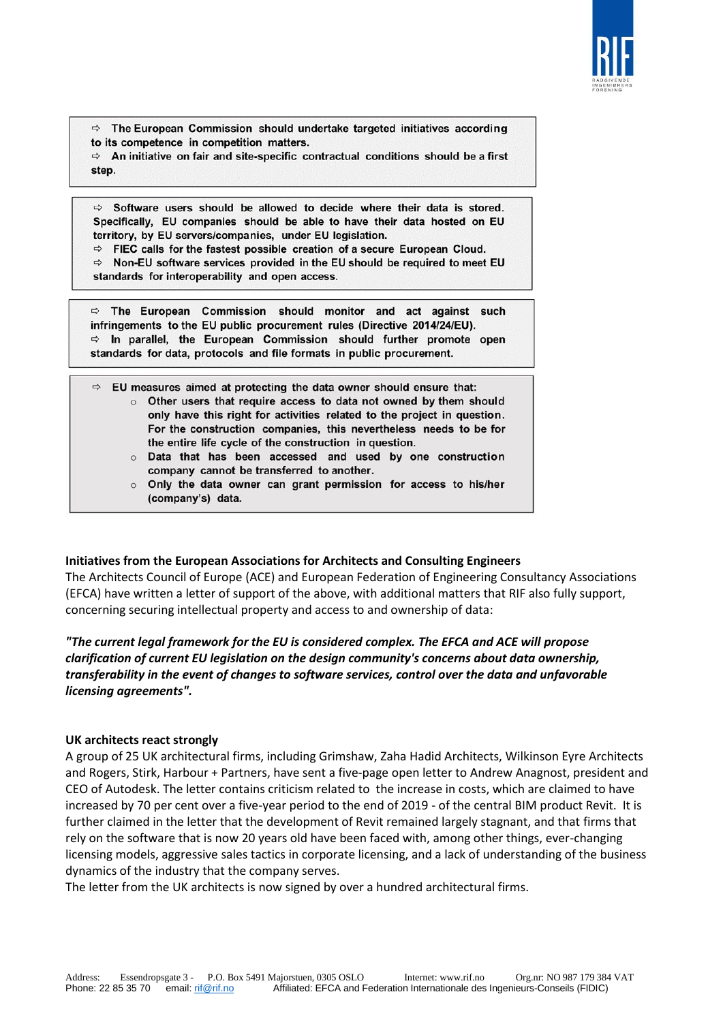

 $\Rightarrow$  The European Commission should undertake targeted initiatives according to its competence in competition matters.

 $\Rightarrow$  An initiative on fair and site-specific contractual conditions should be a first step.

 $\Rightarrow$  Software users should be allowed to decide where their data is stored. Specifically, EU companies should be able to have their data hosted on EU territory, by EU servers/companies, under EU legislation.

 $\Rightarrow$  FIEC calls for the fastest possible creation of a secure European Cloud.

 $\Rightarrow$  Non-EU software services provided in the EU should be required to meet EU standards for interoperability and open access.

 $\Rightarrow$  The European Commission should monitor and act against such infringements to the EU public procurement rules (Directive 2014/24/EU).  $\Rightarrow$  In parallel, the European Commission should further promote open standards for data, protocols and file formats in public procurement.

 $\Rightarrow$ EU measures aimed at protecting the data owner should ensure that:

- o Other users that require access to data not owned by them should only have this right for activities related to the project in question. For the construction companies, this nevertheless needs to be for the entire life cycle of the construction in question.
- o Data that has been accessed and used by one construction company cannot be transferred to another.
- o Only the data owner can grant permission for access to his/her (company's) data.

## **Initiatives from the European Associations for Architects and Consulting Engineers**

The Architects Council of Europe (ACE) and European Federation of Engineering Consultancy Associations (EFCA) have written a letter of support of the above, with additional matters that RIF also fully support, concerning securing intellectual property and access to and ownership of data:

*"The current legal framework for the EU is considered complex. The EFCA and ACE will propose clarification of current EU legislation on the design community's concerns about data ownership, transferability in the event of changes to software services, control over the data and unfavorable licensing agreements".*

### **UK architects react strongly**

A group of 25 UK architectural firms, including Grimshaw, Zaha Hadid Architects, Wilkinson Eyre Architects and Rogers, Stirk, Harbour + Partners, have sent a five-page open letter to Andrew Anagnost, president and CEO of Autodesk. The letter contains criticism related to the increase in costs, which are claimed to have increased by 70 per cent over a five-year period to the end of 2019 - of the central BIM product Revit. It is further claimed in the letter that the development of Revit remained largely stagnant, and that firms that rely on the software that is now 20 years old have been faced with, among other things, ever-changing licensing models, aggressive sales tactics in corporate licensing, and a lack of understanding of the business dynamics of the industry that the company serves.

The letter from the UK architects is now signed by over a hundred architectural firms.